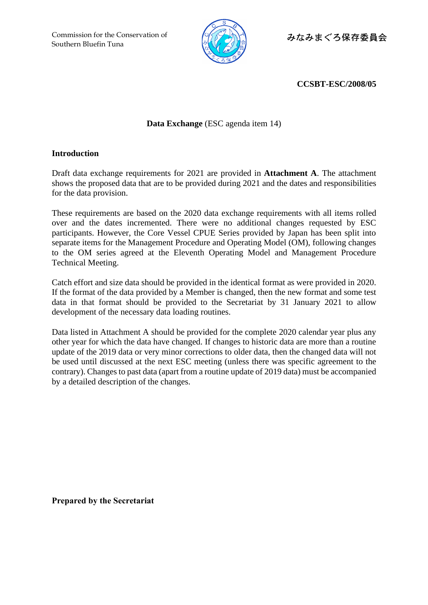Commission for the Conservation of Southern Bluefin Tuna



みなみまぐろ保存委員会

**CCSBT-ESC/2008/05**

## **Data Exchange** (ESC agenda item 14)

## **Introduction**

Draft data exchange requirements for 2021 are provided in **Attachment A**. The attachment shows the proposed data that are to be provided during 2021 and the dates and responsibilities for the data provision.

These requirements are based on the 2020 data exchange requirements with all items rolled over and the dates incremented. There were no additional changes requested by ESC participants. However, the Core Vessel CPUE Series provided by Japan has been split into separate items for the Management Procedure and Operating Model (OM), following changes to the OM series agreed at the Eleventh Operating Model and Management Procedure Technical Meeting.

Catch effort and size data should be provided in the identical format as were provided in 2020. If the format of the data provided by a Member is changed, then the new format and some test data in that format should be provided to the Secretariat by 31 January 2021 to allow development of the necessary data loading routines.

Data listed in Attachment A should be provided for the complete 2020 calendar year plus any other year for which the data have changed. If changes to historic data are more than a routine update of the 2019 data or very minor corrections to older data, then the changed data will not be used until discussed at the next ESC meeting (unless there was specific agreement to the contrary). Changes to past data (apart from a routine update of 2019 data) must be accompanied by a detailed description of the changes.

**Prepared by the Secretariat**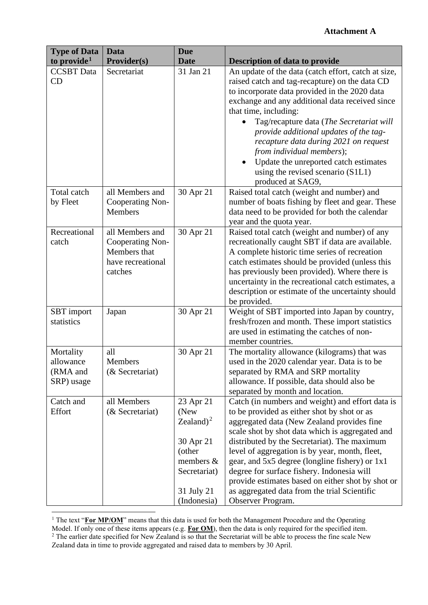## **Attachment A**

| <b>Type of Data</b>                              | Data                                                                                | <b>Due</b>                                                                                                         |                                                                                                                                                                                                                                                                                                                                                                                                                                                                                                                              |
|--------------------------------------------------|-------------------------------------------------------------------------------------|--------------------------------------------------------------------------------------------------------------------|------------------------------------------------------------------------------------------------------------------------------------------------------------------------------------------------------------------------------------------------------------------------------------------------------------------------------------------------------------------------------------------------------------------------------------------------------------------------------------------------------------------------------|
| to provide <sup>1</sup>                          | <b>Provider(s)</b>                                                                  | <b>Date</b>                                                                                                        | <b>Description of data to provide</b>                                                                                                                                                                                                                                                                                                                                                                                                                                                                                        |
| <b>CCSBT</b> Data<br>CD                          | Secretariat                                                                         | 31 Jan 21                                                                                                          | An update of the data (catch effort, catch at size,<br>raised catch and tag-recapture) on the data CD<br>to incorporate data provided in the 2020 data<br>exchange and any additional data received since<br>that time, including:<br>Tag/recapture data (The Secretariat will<br>provide additional updates of the tag-<br>recapture data during 2021 on request<br>from individual members);<br>Update the unreported catch estimates<br>$\bullet$<br>using the revised scenario (S1L1)<br>produced at SAG9,               |
| Total catch<br>by Fleet                          | all Members and<br>Cooperating Non-<br>Members                                      | 30 Apr 21                                                                                                          | Raised total catch (weight and number) and<br>number of boats fishing by fleet and gear. These<br>data need to be provided for both the calendar<br>year and the quota year.                                                                                                                                                                                                                                                                                                                                                 |
| Recreational<br>catch                            | all Members and<br>Cooperating Non-<br>Members that<br>have recreational<br>catches | 30 Apr 21                                                                                                          | Raised total catch (weight and number) of any<br>recreationally caught SBT if data are available.<br>A complete historic time series of recreation<br>catch estimates should be provided (unless this<br>has previously been provided). Where there is<br>uncertainty in the recreational catch estimates, a<br>description or estimate of the uncertainty should<br>be provided.                                                                                                                                            |
| SBT import<br>statistics                         | Japan                                                                               | 30 Apr 21                                                                                                          | Weight of SBT imported into Japan by country,<br>fresh/frozen and month. These import statistics<br>are used in estimating the catches of non-<br>member countries.                                                                                                                                                                                                                                                                                                                                                          |
| Mortality<br>allowance<br>(RMA and<br>SRP) usage | all<br>Members<br>(& Secretariat)                                                   | 30 Apr 21                                                                                                          | The mortality allowance (kilograms) that was<br>used in the 2020 calendar year. Data is to be<br>separated by RMA and SRP mortality<br>allowance. If possible, data should also be<br>separated by month and location.                                                                                                                                                                                                                                                                                                       |
| Catch and<br>Effort                              | all Members<br>(& Secretariat)                                                      | 23 Apr 21<br>(New<br>Zealand) $2$<br>30 Apr 21<br>(other<br>members &<br>Secretariat)<br>31 July 21<br>(Indonesia) | Catch (in numbers and weight) and effort data is<br>to be provided as either shot by shot or as<br>aggregated data (New Zealand provides fine<br>scale shot by shot data which is aggregated and<br>distributed by the Secretariat). The maximum<br>level of aggregation is by year, month, fleet,<br>gear, and 5x5 degree (longline fishery) or 1x1<br>degree for surface fishery. Indonesia will<br>provide estimates based on either shot by shot or<br>as aggregated data from the trial Scientific<br>Observer Program. |

<sup>&</sup>lt;sup>1</sup> The text "**For MP/OM**" means that this data is used for both the Management Procedure and the Operating Model. If only one of these items appears (e.g. **For OM**), then the data is only required for the specified item.  $2$  The earlier date specified for New Zealand is so that the Secretariat will be able to process the fine scale New Zealand data in time to provide aggregated and raised data to members by 30 April.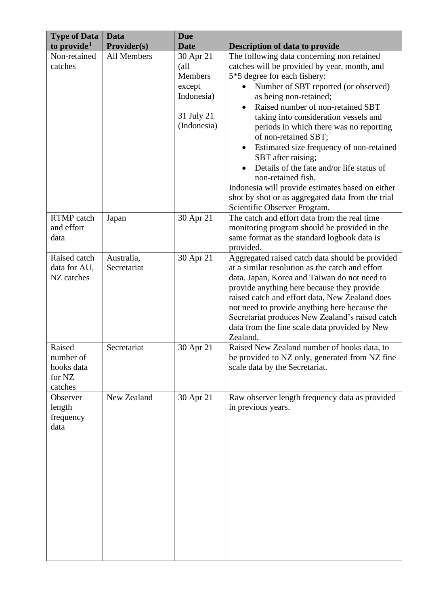| <b>Type of Data</b><br>to provide <sup>1</sup>         | <b>Data</b><br>Provider(s) | <b>Due</b><br><b>Date</b>                                                         | <b>Description of data to provide</b>                                                                                                                                                                                                                                                                                                                                                                                                                                                                                                                                                                                                    |
|--------------------------------------------------------|----------------------------|-----------------------------------------------------------------------------------|------------------------------------------------------------------------------------------------------------------------------------------------------------------------------------------------------------------------------------------------------------------------------------------------------------------------------------------------------------------------------------------------------------------------------------------------------------------------------------------------------------------------------------------------------------------------------------------------------------------------------------------|
| Non-retained<br>catches                                | All Members                | 30 Apr 21<br>(all<br>Members<br>except<br>Indonesia)<br>31 July 21<br>(Indonesia) | The following data concerning non retained<br>catches will be provided by year, month, and<br>5*5 degree for each fishery:<br>Number of SBT reported (or observed)<br>as being non-retained;<br>Raised number of non-retained SBT<br>taking into consideration vessels and<br>periods in which there was no reporting<br>of non-retained SBT;<br>Estimated size frequency of non-retained<br>$\bullet$<br>SBT after raising;<br>Details of the fate and/or life status of<br>non-retained fish.<br>Indonesia will provide estimates based on either<br>shot by shot or as aggregated data from the trial<br>Scientific Observer Program. |
| <b>RTMP</b> catch<br>and effort<br>data                | Japan                      | 30 Apr 21                                                                         | The catch and effort data from the real time<br>monitoring program should be provided in the<br>same format as the standard logbook data is<br>provided.                                                                                                                                                                                                                                                                                                                                                                                                                                                                                 |
| Raised catch<br>data for AU,<br>NZ catches             | Australia,<br>Secretariat  | 30 Apr 21                                                                         | Aggregated raised catch data should be provided<br>at a similar resolution as the catch and effort<br>data. Japan, Korea and Taiwan do not need to<br>provide anything here because they provide<br>raised catch and effort data. New Zealand does<br>not need to provide anything here because the<br>Secretariat produces New Zealand's raised catch<br>data from the fine scale data provided by New<br>Zealand.                                                                                                                                                                                                                      |
| Raised<br>number of<br>hooks data<br>for NZ<br>catches | Secretariat                | 30 Apr 21                                                                         | Raised New Zealand number of hooks data, to<br>be provided to NZ only, generated from NZ fine<br>scale data by the Secretariat.                                                                                                                                                                                                                                                                                                                                                                                                                                                                                                          |
| Observer<br>length<br>frequency<br>data                | New Zealand                | 30 Apr 21                                                                         | Raw observer length frequency data as provided<br>in previous years.                                                                                                                                                                                                                                                                                                                                                                                                                                                                                                                                                                     |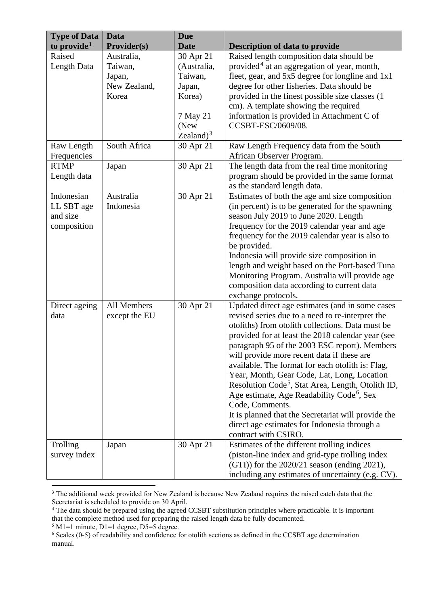| <b>Type of Data</b>                                 | <b>Data</b>                                              | <b>Due</b>                                                                                  |                                                                                                                                                                                                                                                                                                                                                                                                                                                                                                                                                                                                                                                                                            |
|-----------------------------------------------------|----------------------------------------------------------|---------------------------------------------------------------------------------------------|--------------------------------------------------------------------------------------------------------------------------------------------------------------------------------------------------------------------------------------------------------------------------------------------------------------------------------------------------------------------------------------------------------------------------------------------------------------------------------------------------------------------------------------------------------------------------------------------------------------------------------------------------------------------------------------------|
| to provide <sup>1</sup>                             | <b>Provider(s)</b>                                       | <b>Date</b>                                                                                 | <b>Description of data to provide</b>                                                                                                                                                                                                                                                                                                                                                                                                                                                                                                                                                                                                                                                      |
| Raised<br>Length Data                               | Australia,<br>Taiwan,<br>Japan,<br>New Zealand,<br>Korea | 30 Apr 21<br>(Australia,<br>Taiwan,<br>Japan,<br>Korea)<br>7 May 21<br>(New<br>Zealand) $3$ | Raised length composition data should be<br>provided <sup>4</sup> at an aggregation of year, month,<br>fleet, gear, and 5x5 degree for longline and 1x1<br>degree for other fisheries. Data should be<br>provided in the finest possible size classes (1<br>cm). A template showing the required<br>information is provided in Attachment C of<br>CCSBT-ESC/0609/08.                                                                                                                                                                                                                                                                                                                       |
| Raw Length<br>Frequencies                           | South Africa                                             | 30 Apr 21                                                                                   | Raw Length Frequency data from the South<br>African Observer Program.                                                                                                                                                                                                                                                                                                                                                                                                                                                                                                                                                                                                                      |
| <b>RTMP</b><br>Length data                          | Japan                                                    | 30 Apr 21                                                                                   | The length data from the real time monitoring<br>program should be provided in the same format<br>as the standard length data.                                                                                                                                                                                                                                                                                                                                                                                                                                                                                                                                                             |
| Indonesian<br>LL SBT age<br>and size<br>composition | Australia<br>Indonesia                                   | 30 Apr 21                                                                                   | Estimates of both the age and size composition<br>(in percent) is to be generated for the spawning<br>season July 2019 to June 2020. Length<br>frequency for the 2019 calendar year and age<br>frequency for the 2019 calendar year is also to<br>be provided.<br>Indonesia will provide size composition in<br>length and weight based on the Port-based Tuna<br>Monitoring Program. Australia will provide age<br>composition data according to current data<br>exchange protocols.                                                                                                                                                                                                      |
| Direct ageing<br>data                               | All Members<br>except the EU                             | 30 Apr 21                                                                                   | Updated direct age estimates (and in some cases<br>revised series due to a need to re-interpret the<br>otoliths) from otolith collections. Data must be<br>provided for at least the 2018 calendar year (see<br>paragraph 95 of the 2003 ESC report). Members<br>will provide more recent data if these are<br>available. The format for each otolith is: Flag,<br>Year, Month, Gear Code, Lat, Long, Location<br>Resolution Code <sup>5</sup> , Stat Area, Length, Otolith ID,<br>Age estimate, Age Readability Code <sup>6</sup> , Sex<br>Code, Comments.<br>It is planned that the Secretariat will provide the<br>direct age estimates for Indonesia through a<br>contract with CSIRO. |
| Trolling<br>survey index                            | Japan                                                    | 30 Apr 21                                                                                   | Estimates of the different trolling indices<br>(piston-line index and grid-type trolling index<br>$(GTI)$ for the 2020/21 season (ending 2021),<br>including any estimates of uncertainty (e.g. CV).                                                                                                                                                                                                                                                                                                                                                                                                                                                                                       |

<sup>&</sup>lt;sup>3</sup> The additional week provided for New Zealand is because New Zealand requires the raised catch data that the Secretariat is scheduled to provide on 30 April.

 $5$  M1=1 minute, D1=1 degree, D5=5 degree.

<sup>&</sup>lt;sup>4</sup> The data should be prepared using the agreed CCSBT substitution principles where practicable. It is important that the complete method used for preparing the raised length data be fully documented.

<sup>6</sup> Scales (0-5) of readability and confidence for otolith sections as defined in the CCSBT age determination manual.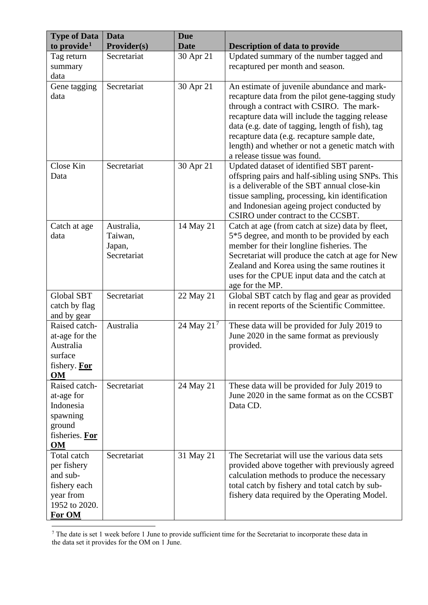| <b>Type of Data</b><br>to provide <sup>1</sup>                                                 | <b>Data</b><br><b>Provider(s)</b>              | <b>Due</b><br><b>Date</b> | <b>Description of data to provide</b>                                                                                                                                                                                                                                                                                                                                               |
|------------------------------------------------------------------------------------------------|------------------------------------------------|---------------------------|-------------------------------------------------------------------------------------------------------------------------------------------------------------------------------------------------------------------------------------------------------------------------------------------------------------------------------------------------------------------------------------|
| Tag return<br>summary<br>data                                                                  | Secretariat                                    | 30 Apr 21                 | Updated summary of the number tagged and<br>recaptured per month and season.                                                                                                                                                                                                                                                                                                        |
| Gene tagging<br>data                                                                           | Secretariat                                    | 30 Apr 21                 | An estimate of juvenile abundance and mark-<br>recapture data from the pilot gene-tagging study<br>through a contract with CSIRO. The mark-<br>recapture data will include the tagging release<br>data (e.g. date of tagging, length of fish), tag<br>recapture data (e.g. recapture sample date,<br>length) and whether or not a genetic match with<br>a release tissue was found. |
| Close Kin<br>Data                                                                              | Secretariat                                    | 30 Apr 21                 | Updated dataset of identified SBT parent-<br>offspring pairs and half-sibling using SNPs. This<br>is a deliverable of the SBT annual close-kin<br>tissue sampling, processing, kin identification<br>and Indonesian ageing project conducted by<br>CSIRO under contract to the CCSBT.                                                                                               |
| Catch at age<br>data                                                                           | Australia,<br>Taiwan,<br>Japan,<br>Secretariat | 14 May 21                 | Catch at age (from catch at size) data by fleet,<br>5*5 degree, and month to be provided by each<br>member for their longline fisheries. The<br>Secretariat will produce the catch at age for New<br>Zealand and Korea using the same routines it<br>uses for the CPUE input data and the catch at<br>age for the MP.                                                               |
| Global SBT<br>catch by flag<br>and by gear                                                     | Secretariat                                    | 22 May 21                 | Global SBT catch by flag and gear as provided<br>in recent reports of the Scientific Committee.                                                                                                                                                                                                                                                                                     |
| Raised catch-<br>at-age for the<br>Australia<br>surface<br>fishery. For<br><b>OM</b>           | Australia                                      | 24 May 21 <sup>7</sup>    | These data will be provided for July 2019 to<br>June 2020 in the same format as previously<br>provided.                                                                                                                                                                                                                                                                             |
| Raised catch-<br>at-age for<br>Indonesia<br>spawning<br>ground<br>fisheries. For<br><b>OM</b>  | Secretariat                                    | 24 May 21                 | These data will be provided for July 2019 to<br>June 2020 in the same format as on the CCSBT<br>Data CD.                                                                                                                                                                                                                                                                            |
| Total catch<br>per fishery<br>and sub-<br>fishery each<br>year from<br>1952 to 2020.<br>For OM | Secretariat                                    | 31 May 21                 | The Secretariat will use the various data sets<br>provided above together with previously agreed<br>calculation methods to produce the necessary<br>total catch by fishery and total catch by sub-<br>fishery data required by the Operating Model.                                                                                                                                 |

 $<sup>7</sup>$  The date is set 1 week before 1 June to provide sufficient time for the Secretariat to incorporate these data in</sup> the data set it provides for the OM on 1 June.